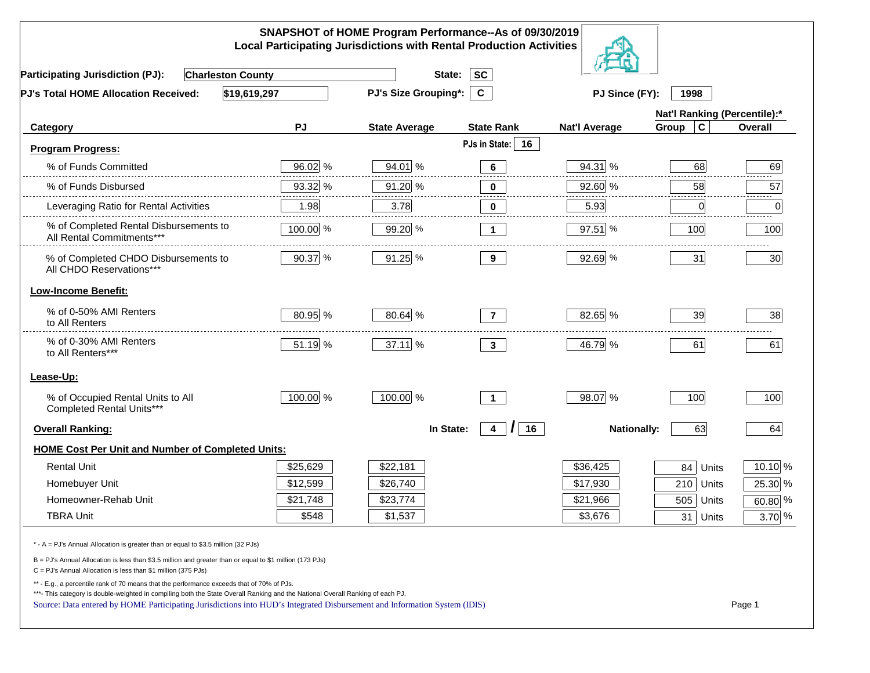|                                                                                                                                                                                                                                                                                                                                                          |          | SNAPSHOT of HOME Program Performance--As of 09/30/2019<br><b>Local Participating Jurisdictions with Rental Production Activities</b> |                           |                      |                              |          |
|----------------------------------------------------------------------------------------------------------------------------------------------------------------------------------------------------------------------------------------------------------------------------------------------------------------------------------------------------------|----------|--------------------------------------------------------------------------------------------------------------------------------------|---------------------------|----------------------|------------------------------|----------|
| <b>Participating Jurisdiction (PJ):</b><br><b>Charleston County</b>                                                                                                                                                                                                                                                                                      |          | State:                                                                                                                               | <b>SC</b>                 |                      |                              |          |
| \$19,619,297<br>PJ's Total HOME Allocation Received:                                                                                                                                                                                                                                                                                                     |          | PJ's Size Grouping*:                                                                                                                 | $\mathbf{C}$              | PJ Since (FY):       | 1998                         |          |
|                                                                                                                                                                                                                                                                                                                                                          |          |                                                                                                                                      |                           |                      | Nat'l Ranking (Percentile):* |          |
| Category                                                                                                                                                                                                                                                                                                                                                 | PJ       | <b>State Average</b>                                                                                                                 | <b>State Rank</b>         | <b>Nat'l Average</b> | $\mathbf c$<br>Group         | Overall  |
| <b>Program Progress:</b>                                                                                                                                                                                                                                                                                                                                 |          |                                                                                                                                      | PJs in State: 16          |                      |                              |          |
| % of Funds Committed                                                                                                                                                                                                                                                                                                                                     | 96.02 %  | 94.01 %                                                                                                                              | 6                         | 94.31 %              | 68                           | 69       |
| % of Funds Disbursed                                                                                                                                                                                                                                                                                                                                     | 93.32 %  | 91.20 %                                                                                                                              | $\mathbf 0$               | 92.60 %              | 58                           | 57       |
| Leveraging Ratio for Rental Activities                                                                                                                                                                                                                                                                                                                   | 1.98     | 3.78                                                                                                                                 | 0                         | 5.93                 | 0                            | .<br>0   |
| % of Completed Rental Disbursements to<br>All Rental Commitments***                                                                                                                                                                                                                                                                                      | 100.00 % | 99.20 %                                                                                                                              | $\mathbf 1$               | 97.51 %              | 100                          | 100      |
| % of Completed CHDO Disbursements to<br>All CHDO Reservations***                                                                                                                                                                                                                                                                                         | 90.37 %  | 91.25 %                                                                                                                              | 9                         | 92.69 %              | 31                           | 30       |
| <b>Low-Income Benefit:</b>                                                                                                                                                                                                                                                                                                                               |          |                                                                                                                                      |                           |                      |                              |          |
| % of 0-50% AMI Renters<br>to All Renters                                                                                                                                                                                                                                                                                                                 | 80.95 %  | 80.64 %                                                                                                                              | $\overline{7}$            | 82.65 %              | 39                           | 38       |
| % of 0-30% AMI Renters<br>to All Renters***                                                                                                                                                                                                                                                                                                              | 51.19 %  | 37.11 %                                                                                                                              | 3 <sup>2</sup>            | 46.79 %              | 61                           | 61       |
| Lease-Up:                                                                                                                                                                                                                                                                                                                                                |          |                                                                                                                                      |                           |                      |                              |          |
| % of Occupied Rental Units to All<br>Completed Rental Units***                                                                                                                                                                                                                                                                                           | 100.00 % | 100.00 %                                                                                                                             | $\overline{1}$            | 98.07 %              | 100                          | 100      |
| <b>Overall Ranking:</b>                                                                                                                                                                                                                                                                                                                                  |          | In State:                                                                                                                            | 16<br>$\overline{4}$<br>I | <b>Nationally:</b>   | 63                           | 64       |
| <b>HOME Cost Per Unit and Number of Completed Units:</b>                                                                                                                                                                                                                                                                                                 |          |                                                                                                                                      |                           |                      |                              |          |
| <b>Rental Unit</b>                                                                                                                                                                                                                                                                                                                                       | \$25,629 | \$22,181                                                                                                                             |                           | \$36,425             | 84<br>Units                  | 10.10 %  |
| Homebuyer Unit                                                                                                                                                                                                                                                                                                                                           | \$12,599 | \$26,740                                                                                                                             |                           | \$17,930             | $210$ Units                  | 25.30 %  |
| Homeowner-Rehab Unit                                                                                                                                                                                                                                                                                                                                     | \$21,748 | \$23,774                                                                                                                             |                           | \$21,966             | 505 Units                    | 60.80 %  |
| <b>TBRA Unit</b>                                                                                                                                                                                                                                                                                                                                         | \$548    | \$1,537                                                                                                                              |                           | \$3,676              | 31 Units                     | $3.70\%$ |
| * - A = PJ's Annual Allocation is greater than or equal to \$3.5 million (32 PJs)                                                                                                                                                                                                                                                                        |          |                                                                                                                                      |                           |                      |                              |          |
| B = PJ's Annual Allocation is less than \$3.5 million and greater than or equal to \$1 million (173 PJs)<br>$C = PJ's$ Annual Allocation is less than \$1 million (375 PJs)                                                                                                                                                                              |          |                                                                                                                                      |                           |                      |                              |          |
| ** - E.g., a percentile rank of 70 means that the performance exceeds that of 70% of PJs.<br>***- This category is double-weighted in compiling both the State Overall Ranking and the National Overall Ranking of each PJ.<br>Source: Data entered by HOME Participating Jurisdictions into HUD's Integrated Disbursement and Information System (IDIS) |          |                                                                                                                                      |                           |                      |                              | Page 1   |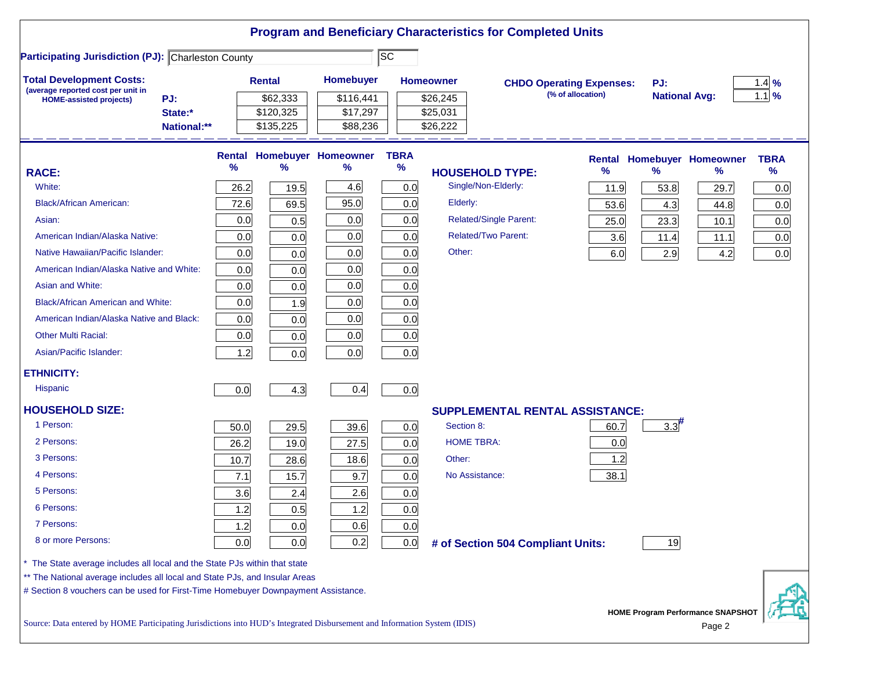| <b>Participating Jurisdiction (PJ): Charleston County</b><br><b>Total Development Costs:</b><br>(average reported cost per unit in<br>PJ:<br><b>HOME-assisted projects)</b><br>State:*<br>National:**<br><b>RACE:</b><br>White:<br><b>Black/African American:</b> | %<br>26.2<br>72.6<br>0.0<br>0.0<br>0.0 | <b>Rental</b><br>\$62,333<br>\$120,325<br>\$135,225<br>%<br>19.5<br>69.5<br>0.5 | Homebuyer<br>\$116,441<br>\$17,297<br>\$88,236<br><b>Rental Homebuyer Homeowner</b><br>℅<br>4.6<br>95.0 | $ \overline{sc} $<br><b>TBRA</b><br>$\%$<br>0.0<br>0.0 | <b>Homeowner</b><br>\$26,245<br>\$25,031<br>\$26,222<br><b>HOUSEHOLD TYPE:</b><br>Single/Non-Elderly: | <b>CHDO Operating Expenses:</b><br>(% of allocation)<br>℅<br>11.9 | PJ:<br><b>National Avg:</b><br>$\%$ | Rental Homebuyer Homeowner<br>$\%$                 | $1.4\%$<br>$1.1\%$<br><b>TBRA</b><br>$\%$ |
|-------------------------------------------------------------------------------------------------------------------------------------------------------------------------------------------------------------------------------------------------------------------|----------------------------------------|---------------------------------------------------------------------------------|---------------------------------------------------------------------------------------------------------|--------------------------------------------------------|-------------------------------------------------------------------------------------------------------|-------------------------------------------------------------------|-------------------------------------|----------------------------------------------------|-------------------------------------------|
|                                                                                                                                                                                                                                                                   |                                        |                                                                                 |                                                                                                         |                                                        |                                                                                                       |                                                                   |                                     |                                                    |                                           |
|                                                                                                                                                                                                                                                                   |                                        |                                                                                 |                                                                                                         |                                                        |                                                                                                       |                                                                   |                                     |                                                    |                                           |
|                                                                                                                                                                                                                                                                   |                                        |                                                                                 |                                                                                                         |                                                        |                                                                                                       |                                                                   |                                     |                                                    |                                           |
|                                                                                                                                                                                                                                                                   |                                        |                                                                                 |                                                                                                         |                                                        |                                                                                                       |                                                                   |                                     |                                                    |                                           |
|                                                                                                                                                                                                                                                                   |                                        |                                                                                 |                                                                                                         |                                                        |                                                                                                       |                                                                   |                                     |                                                    |                                           |
|                                                                                                                                                                                                                                                                   |                                        |                                                                                 |                                                                                                         |                                                        |                                                                                                       |                                                                   |                                     |                                                    |                                           |
|                                                                                                                                                                                                                                                                   |                                        |                                                                                 |                                                                                                         |                                                        |                                                                                                       |                                                                   |                                     |                                                    |                                           |
|                                                                                                                                                                                                                                                                   |                                        |                                                                                 |                                                                                                         |                                                        |                                                                                                       |                                                                   | 53.8                                | 29.7                                               | 0.0                                       |
|                                                                                                                                                                                                                                                                   |                                        |                                                                                 |                                                                                                         |                                                        | Elderly:                                                                                              | 53.6                                                              | 4.3                                 | 44.8                                               | 0.0                                       |
| Asian:                                                                                                                                                                                                                                                            |                                        |                                                                                 | 0.0                                                                                                     | 0.0                                                    | <b>Related/Single Parent:</b>                                                                         | 25.0                                                              | 23.3                                | 10.1                                               | 0.0                                       |
| American Indian/Alaska Native:                                                                                                                                                                                                                                    |                                        | 0.0                                                                             | 0.0                                                                                                     | 0.0                                                    | <b>Related/Two Parent:</b>                                                                            | 3.6                                                               | 11.4                                | 11.1                                               | 0.0                                       |
| Native Hawaiian/Pacific Islander:                                                                                                                                                                                                                                 |                                        | 0.0                                                                             | 0.0                                                                                                     | 0.0                                                    | Other:                                                                                                | 6.0                                                               | 2.9                                 | 4.2                                                | 0.0                                       |
| American Indian/Alaska Native and White:                                                                                                                                                                                                                          | 0.0                                    | 0.0                                                                             | 0.0                                                                                                     | 0.0                                                    |                                                                                                       |                                                                   |                                     |                                                    |                                           |
| Asian and White:                                                                                                                                                                                                                                                  | 0.0                                    | 0.0                                                                             | 0.0                                                                                                     | 0.0                                                    |                                                                                                       |                                                                   |                                     |                                                    |                                           |
| <b>Black/African American and White:</b>                                                                                                                                                                                                                          | 0.0                                    | 1.9                                                                             | 0.0                                                                                                     | 0.0                                                    |                                                                                                       |                                                                   |                                     |                                                    |                                           |
| American Indian/Alaska Native and Black:                                                                                                                                                                                                                          | 0.0                                    | 0.0                                                                             | 0.0                                                                                                     | 0.0                                                    |                                                                                                       |                                                                   |                                     |                                                    |                                           |
| <b>Other Multi Racial:</b>                                                                                                                                                                                                                                        | 0.0                                    | 0.0                                                                             | 0.0                                                                                                     | 0.0                                                    |                                                                                                       |                                                                   |                                     |                                                    |                                           |
| Asian/Pacific Islander:                                                                                                                                                                                                                                           | 1.2                                    | 0.0                                                                             | 0.0                                                                                                     | 0.0                                                    |                                                                                                       |                                                                   |                                     |                                                    |                                           |
| <b>ETHNICITY:</b>                                                                                                                                                                                                                                                 |                                        |                                                                                 |                                                                                                         |                                                        |                                                                                                       |                                                                   |                                     |                                                    |                                           |
| <b>Hispanic</b>                                                                                                                                                                                                                                                   | 0.0                                    | 4.3                                                                             | 0.4                                                                                                     | 0.0                                                    |                                                                                                       |                                                                   |                                     |                                                    |                                           |
| <b>HOUSEHOLD SIZE:</b>                                                                                                                                                                                                                                            |                                        |                                                                                 |                                                                                                         |                                                        |                                                                                                       | <b>SUPPLEMENTAL RENTAL ASSISTANCE:</b>                            |                                     |                                                    |                                           |
| 1 Person:                                                                                                                                                                                                                                                         | 50.0                                   | 29.5                                                                            | 39.6                                                                                                    | 0.0                                                    | Section 8:                                                                                            | 60.7                                                              | 3.3                                 |                                                    |                                           |
| 2 Persons:                                                                                                                                                                                                                                                        | 26.2                                   | 19.0                                                                            | 27.5                                                                                                    | 0.0                                                    | <b>HOME TBRA:</b>                                                                                     | 0.0                                                               |                                     |                                                    |                                           |
| 3 Persons:                                                                                                                                                                                                                                                        | 10.7                                   | 28.6                                                                            | 18.6                                                                                                    | 0.0                                                    | Other:                                                                                                | 1.2                                                               |                                     |                                                    |                                           |
| 4 Persons:                                                                                                                                                                                                                                                        | 7.1                                    | 15.7                                                                            | 9.7                                                                                                     | 0.0                                                    | No Assistance:                                                                                        | 38.1                                                              |                                     |                                                    |                                           |
| 5 Persons:                                                                                                                                                                                                                                                        | 3.6                                    | 2.4                                                                             | 2.6                                                                                                     | 0.0                                                    |                                                                                                       |                                                                   |                                     |                                                    |                                           |
| 6 Persons:                                                                                                                                                                                                                                                        | 1.2                                    | 0.5                                                                             | 1.2                                                                                                     | 0.0                                                    |                                                                                                       |                                                                   |                                     |                                                    |                                           |
| 7 Persons:                                                                                                                                                                                                                                                        | 1.2                                    | 0.0                                                                             | 0.6                                                                                                     | 0.0                                                    |                                                                                                       |                                                                   |                                     |                                                    |                                           |
| 8 or more Persons:                                                                                                                                                                                                                                                | 0.0                                    | 0.0                                                                             | 0.2                                                                                                     | 0.0                                                    | # of Section 504 Compliant Units:                                                                     |                                                                   | 19                                  |                                                    |                                           |
| * The State average includes all local and the State PJs within that state                                                                                                                                                                                        |                                        |                                                                                 |                                                                                                         |                                                        |                                                                                                       |                                                                   |                                     |                                                    |                                           |
| ** The National average includes all local and State PJs, and Insular Areas                                                                                                                                                                                       |                                        |                                                                                 |                                                                                                         |                                                        |                                                                                                       |                                                                   |                                     |                                                    |                                           |
| # Section 8 vouchers can be used for First-Time Homebuyer Downpayment Assistance.                                                                                                                                                                                 |                                        |                                                                                 |                                                                                                         |                                                        |                                                                                                       |                                                                   |                                     |                                                    |                                           |
| Source: Data entered by HOME Participating Jurisdictions into HUD's Integrated Disbursement and Information System (IDIS)                                                                                                                                         |                                        |                                                                                 |                                                                                                         |                                                        |                                                                                                       |                                                                   |                                     | <b>HOME Program Performance SNAPSHOT</b><br>Page 2 |                                           |